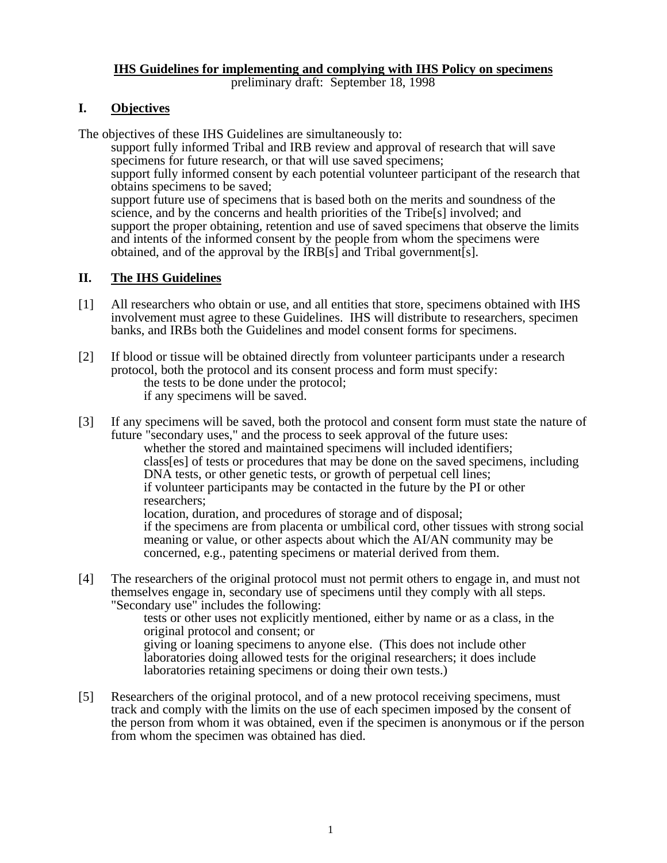# **IHS Guidelines for implementing and complying with IHS Policy on specimens**

preliminary draft: September 18, 1998

### **I. Objectives**

The objectives of these IHS Guidelines are simultaneously to:

support fully informed Tribal and IRB review and approval of research that will save specimens for future research, or that will use saved specimens; support fully informed consent by each potential volunteer participant of the research that obtains specimens to be saved; support future use of specimens that is based both on the merits and soundness of the science, and by the concerns and health priorities of the Tribe[s] involved; and support the proper obtaining, retention and use of saved specimens that observe the limits and intents of the informed consent by the people from whom the specimens were obtained, and of the approval by the IRB[s] and Tribal government[s].

## **II. The IHS Guidelines**

- [1] All researchers who obtain or use, and all entities that store, specimens obtained with IHS involvement must agree to these Guidelines. IHS will distribute to researchers, specimen banks, and IRBs both the Guidelines and model consent forms for specimens.
- [2] If blood or tissue will be obtained directly from volunteer participants under a research protocol, both the protocol and its consent process and form must specify: the tests to be done under the protocol; the tests to be done under the protocol;<br>if any specimens will be saved.
- [3] If any specimens will be saved, both the protocol and consent form must state the nature of future "secondary uses," and the process to seek approval of the future uses: whether the stored and maintained specimens will included identifiers; class[es] of tests or procedures that may be done on the saved specimens, including DNA tests, or other genetic tests, or growth of perpetual cell lines; if volunteer participants may be contacted in the future by the PI or other researchers; location, duration, and procedures of storage and of disposal; if the specimens are from placenta or umbilical cord, other tissues with strong social meaning or value, or other aspects about which the AI/AN community may be concerned, e.g., patenting specimens or material derived from them.
- [4] The researchers of the original protocol must not permit others to engage in, and must not themselves engage in, secondary use of specimens until they comply with all steps. "Secondary use" includes the following:

tests or other uses not explicitly mentioned, either by name or as a class, in the original protocol and consent; or giving or loaning specimens to anyone else. (This does not include other

laboratories doing allowed tests for the original researchers; it does include laboratories retaining specimens or doing their own tests.)

[5] Researchers of the original protocol, and of a new protocol receiving specimens, must track and comply with the limits on the use of each specimen imposed by the consent of the person from whom it was obtained, even if the specimen is anonymous or if the person from whom the specimen was obtained has died.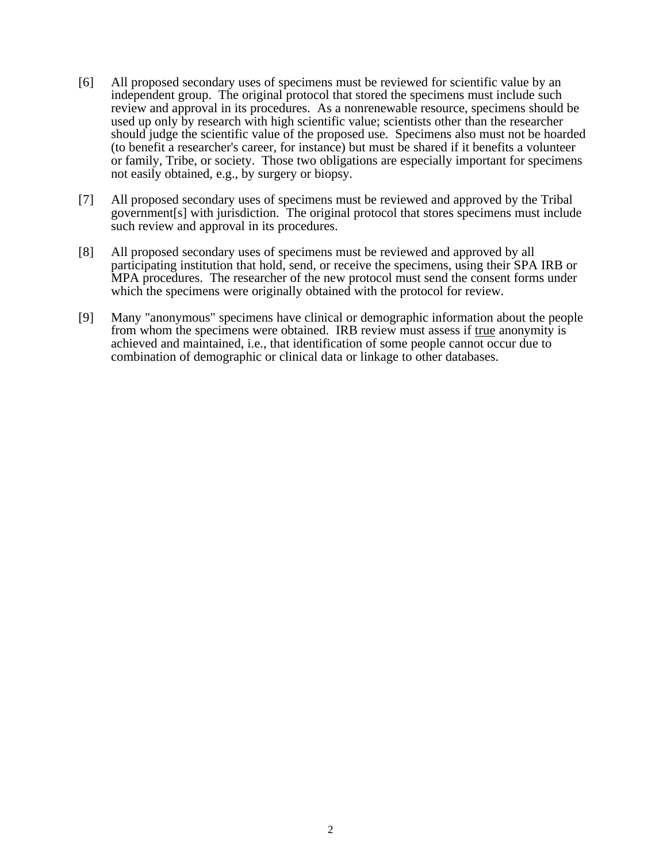- [6] All proposed secondary uses of specimens must be reviewed for scientific value by an independent group. The original protocol that stored the specimens must include such review and approval in its procedures. As a nonrenewable resource, specimens should be used up only by research with high scientific value; scientists other than the researcher should judge the scientific value of the proposed use. Specimens also must not be hoarded (to benefit a researcher's career, for instance) but must be shared if it benefits a volunteer or family, Tribe, or society. Those two obligations are especially important for specimens not easily obtained, e.g., by surgery or biopsy.
- [7] All proposed secondary uses of specimens must be reviewed and approved by the Tribal government[s] with jurisdiction. The original protocol that stores specimens must include such review and approval in its procedures.
- [8] All proposed secondary uses of specimens must be reviewed and approved by all participating institution that hold, send, or receive the specimens, using their SPA IRB or MPA procedures. The researcher of the new protocol must send the consent forms under which the specimens were originally obtained with the protocol for review.
- [9] Many "anonymous" specimens have clinical or demographic information about the people from whom the specimens were obtained. IRB review must assess if true anonymity is achieved and maintained, i.e., that identification of some people cannot occur due to combination of demographic or clinical data or linkage to other databases.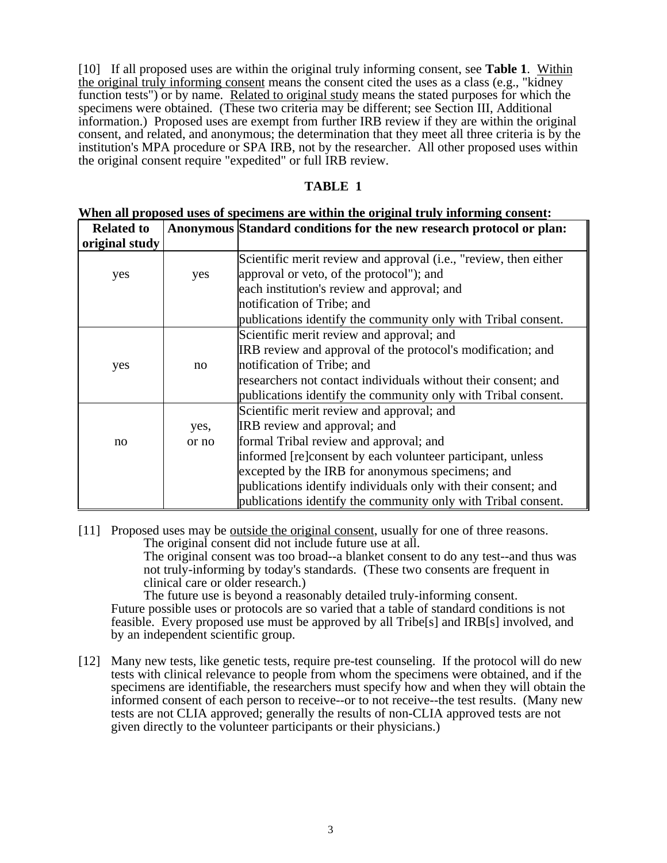[10] If all proposed uses are within the original truly informing consent, see **Table 1**. Within the original truly informing consent means the consent cited the uses as a class (e.g., "kidney function tests") or by name. Related to original study means the stated purposes for which the specimens were obtained. (These two criteria may be different; see Section III, Additional information.) Proposed uses are exempt from further IRB review if they are within the original consent, and related, and anonymous; the determination that they meet all three criteria is by the institution's MPA procedure or SPA IRB, not by the researcher. All other proposed uses within the original consent require "expedited" or full IRB review.

#### **TABLE 1**

| <b>Related to</b> |       | Anonymous Standard conditions for the new research protocol or plan: |
|-------------------|-------|----------------------------------------------------------------------|
| original study    |       |                                                                      |
|                   |       | Scientific merit review and approval (i.e., "review, then either     |
| yes               | yes   | approval or veto, of the protocol"); and                             |
|                   |       | each institution's review and approval; and                          |
|                   |       | notification of Tribe; and                                           |
|                   |       | publications identify the community only with Tribal consent.        |
|                   |       | Scientific merit review and approval; and                            |
|                   |       | IRB review and approval of the protocol's modification; and          |
| yes               | no    | notification of Tribe; and                                           |
|                   |       | researchers not contact individuals without their consent; and       |
|                   |       | publications identify the community only with Tribal consent.        |
|                   |       | Scientific merit review and approval; and                            |
|                   | yes,  | IRB review and approval; and                                         |
| no                | or no | formal Tribal review and approval; and                               |
|                   |       | informed [re]consent by each volunteer participant, unless           |
|                   |       | excepted by the IRB for anonymous specimens; and                     |
|                   |       | publications identify individuals only with their consent; and       |
|                   |       | publications identify the community only with Tribal consent.        |

#### **When all proposed uses of specimens are within the original truly informing consent:**

[11] Proposed uses may be outside the original consent, usually for one of three reasons. The original consent did not include future use at all. The original consent was too broad--a blanket consent to do any test--and thus was

not truly-informing by today's standards. (These two consents are frequent in clinical care or older research.)

The future use is beyond a reasonably detailed truly-informing consent. Future possible uses or protocols are so varied that a table of standard conditions is not feasible. Every proposed use must be approved by all Tribe[s] and IRB[s] involved, and by an independent scientific group.

[12] Many new tests, like genetic tests, require pre-test counseling. If the protocol will do new tests with clinical relevance to people from whom the specimens were obtained, and if the specimens are identifiable, the researchers must specify how and when they will obtain the informed consent of each person to receive--or to not receive--the test results. (Many new tests are not CLIA approved; generally the results of non-CLIA approved tests are not given directly to the volunteer participants or their physicians.)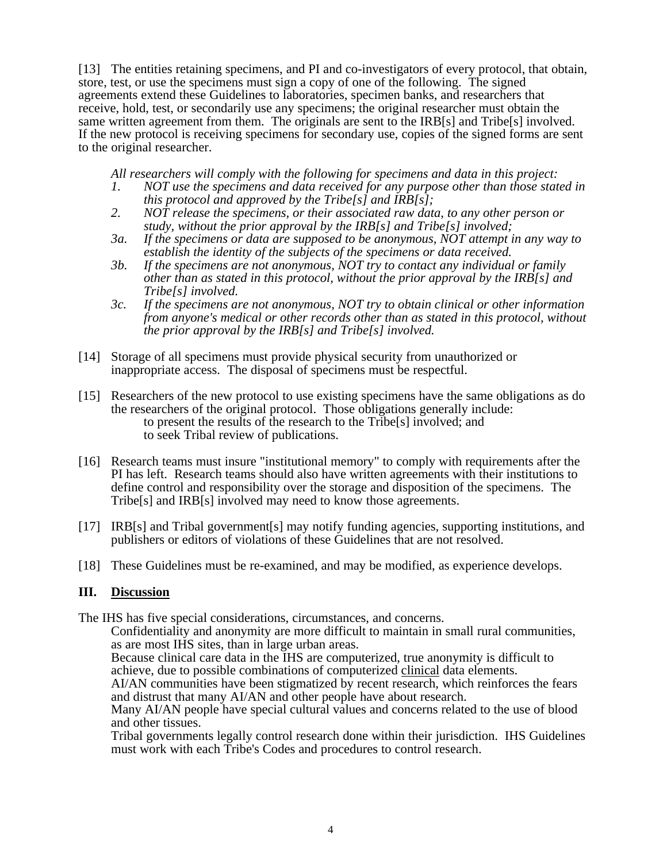[13] The entities retaining specimens, and PI and co-investigators of every protocol, that obtain, store, test, or use the specimens must sign a copy of one of the following. The signed agreements extend these Guidelines to laboratories, specimen banks, and researchers that receive, hold, test, or secondarily use any specimens; the original researcher must obtain the same written agreement from them. The originals are sent to the IRB[s] and Tribe[s] involved. If the new protocol is receiving specimens for secondary use, copies of the signed forms are sent to the original researcher.

*All researchers will comply with the following for specimens and data in this project:* 

- *1. NOT use the specimens and data received for any purpose other than those stated in this protocol and approved by the Tribe[s] and IRB[s];*
- *2. NOT release the specimens, or their associated raw data, to any other person or study, without the prior approval by the IRB[s] and Tribe[s] involved;*
- *3a. If the specimens or data are supposed to be anonymous, NOT attempt in any way to establish the identity of the subjects of the specimens or data received.*
- *3b. If the specimens are not anonymous, NOT try to contact any individual or family other than as stated in this protocol, without the prior approval by the IRB[s] and Tribe[s] involved.*
- *3c. If the specimens are not anonymous, NOT try to obtain clinical or other information from anyone's medical or other records other than as stated in this protocol, without the prior approval by the IRB[s] and Tribe[s] involved.*
- [14] Storage of all specimens must provide physical security from unauthorized or inappropriate access. The disposal of specimens must be respectful.
- [15] Researchers of the new protocol to use existing specimens have the same obligations as do the researchers of the original protocol. Those obligations generally include: to present the results of the research to the Tribe[s] involved; and to present the results of the research to the Tribe[s] involved; and to seek Tribal review of publications.
- [16] Research teams must insure "institutional memory" to comply with requirements after the PI has left. Research teams should also have written agreements with their institutions to define control and responsibility over the storage and disposition of the specimens. The Tribe[s] and IRB[s] involved may need to know those agreements.
- [17] IRB[s] and Tribal government[s] may notify funding agencies, supporting institutions, and publishers or editors of violations of these Guidelines that are not resolved.
- [18] These Guidelines must be re-examined, and may be modified, as experience develops.

### **III. Discussion**

The IHS has five special considerations, circumstances, and concerns.

Confidentiality and anonymity are more difficult to maintain in small rural communities, as are most IHS sites, than in large urban areas.

Because clinical care data in the IHS are computerized, true anonymity is difficult to achieve, due to possible combinations of computerized clinical data elements.

AI/AN communities have been stigmatized by recent research, which reinforces the fears and distrust that many AI/AN and other people have about research.

Many AI/AN people have special cultural values and concerns related to the use of blood and other tissues.

Tribal governments legally control research done within their jurisdiction. IHS Guidelines must work with each Tribe's Codes and procedures to control research.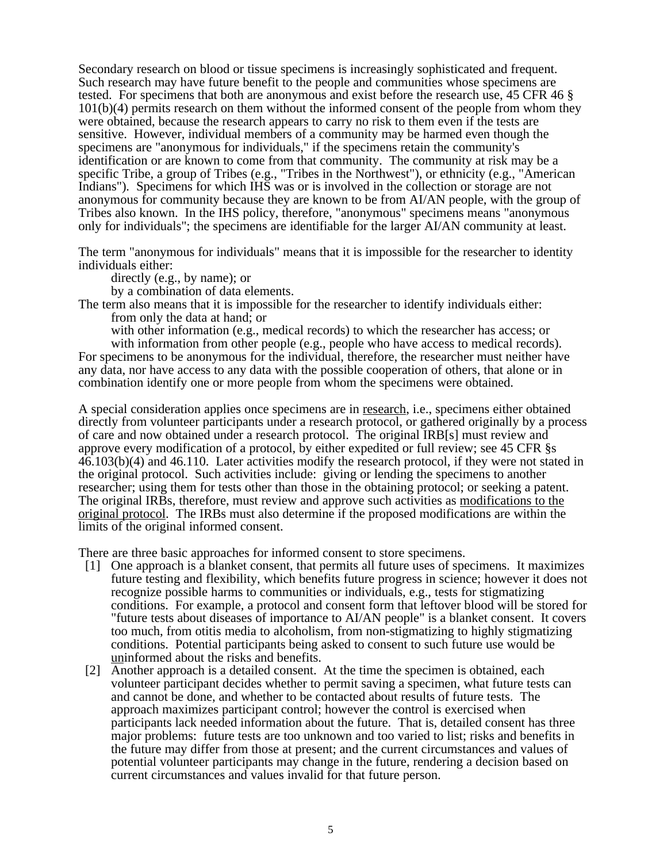Secondary research on blood or tissue specimens is increasingly sophisticated and frequent. Such research may have future benefit to the people and communities whose specimens are tested. For specimens that both are anonymous and exist before the research use, 45 CFR 46 § 101(b)(4) permits research on them without the informed consent of the people from whom they were obtained, because the research appears to carry no risk to them even if the tests are sensitive. However, individual members of a community may be harmed even though the specimens are "anonymous for individuals," if the specimens retain the community's identification or are known to come from that community. The community at risk may be a specific Tribe, a group of Tribes (e.g., "Tribes in the Northwest"), or ethnicity (e.g., "American Indians"). Specimens for which IHS was or is involved in the collection or storage are not anonymous for community because they are known to be from AI/AN people, with the group of Tribes also known. In the IHS policy, therefore, "anonymous" specimens means "anonymous only for individuals"; the specimens are identifiable for the larger AI/AN community at least.

The term "anonymous for individuals" means that it is impossible for the researcher to identity individuals either:

directly (e.g., by name); or

by a combination of data elements.

The term also means that it is impossible for the researcher to identify individuals either: from only the data at hand; or

with other information (e.g., medical records) to which the researcher has access; or

with information from other people (e.g., people who have access to medical records). For specimens to be anonymous for the individual, therefore, the researcher must neither have any data, nor have access to any data with the possible cooperation of others, that alone or in combination identify one or more people from whom the specimens were obtained.

A special consideration applies once specimens are in research, i.e., specimens either obtained directly from volunteer participants under a research protocol, or gathered originally by a process of care and now obtained under a research protocol. The original IRB[s] must review and approve every modification of a protocol, by either expedited or full review; see 45 CFR §s 46.103(b)(4) and 46.110. Later activities modify the research protocol, if they were not stated in the original protocol. Such activities include: giving or lending the specimens to another researcher; using them for tests other than those in the obtaining protocol; or seeking a patent. The original IRBs, therefore, must review and approve such activities as modifications to the original protocol. The IRBs must also determine if the proposed modifications are within the limits of the original informed consent.

There are three basic approaches for informed consent to store specimens.

- [1] One approach is a blanket consent, that permits all future uses of specimens. It maximizes future testing and flexibility, which benefits future progress in science; however it does not recognize possible harms to communities or individuals, e.g., tests for stigmatizing conditions. For example, a protocol and consent form that leftover blood will be stored for "future tests about diseases of importance to AI/AN people" is a blanket consent. It covers too much, from otitis media to alcoholism, from non-stigmatizing to highly stigmatizing conditions. Potential participants being asked to consent to such future use would be uninformed about the risks and benefits.
- [2] Another approach is a detailed consent. At the time the specimen is obtained, each volunteer participant decides whether to permit saving a specimen, what future tests can and cannot be done, and whether to be contacted about results of future tests. The approach maximizes participant control; however the control is exercised when participants lack needed information about the future. That is, detailed consent has three major problems: future tests are too unknown and too varied to list; risks and benefits in the future may differ from those at present; and the current circumstances and values of potential volunteer participants may change in the future, rendering a decision based on current circumstances and values invalid for that future person.